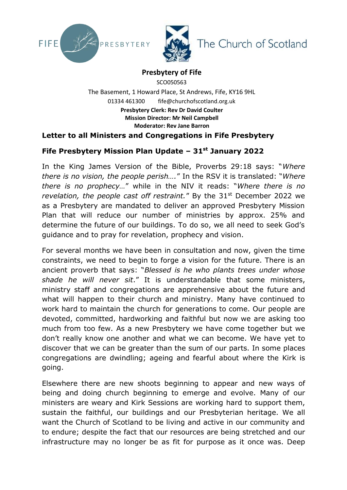



## **Presbytery of Fife**

SCO050563 The Basement, 1 Howard Place, St Andrews, Fife, KY16 9HL 01334 461300 fife@churchofscotland.org.uk **Presbytery Clerk: Rev Dr David Coulter Mission Director: Mr Neil Campbell Moderator: Rev Jane Barron**

## **Letter to all Ministers and Congregations in Fife Presbytery**

## **Fife Presbytery Mission Plan Update – 31st January 2022**

In the King James Version of the Bible, Proverbs 29:18 says: "*Where there is no vision, the people perish….*" In the RSV it is translated: "*Where there is no prophecy…*" while in the NIV it reads: "*Where there is no revelation, the people cast off restraint."* By the 31<sup>st</sup> December 2022 we as a Presbytery are mandated to deliver an approved Presbytery Mission Plan that will reduce our number of ministries by approx. 25% and determine the future of our buildings. To do so, we all need to seek God's guidance and to pray for revelation, prophecy and vision.

For several months we have been in consultation and now, given the time constraints, we need to begin to forge a vision for the future. There is an ancient proverb that says: "*Blessed is he who plants trees under whose shade he will never sit*." It is understandable that some ministers, ministry staff and congregations are apprehensive about the future and what will happen to their church and ministry. Many have continued to work hard to maintain the church for generations to come. Our people are devoted, committed, hardworking and faithful but now we are asking too much from too few. As a new Presbytery we have come together but we don't really know one another and what we can become. We have yet to discover that we can be greater than the sum of our parts. In some places congregations are dwindling; ageing and fearful about where the Kirk is going.

Elsewhere there are new shoots beginning to appear and new ways of being and doing church beginning to emerge and evolve. Many of our ministers are weary and Kirk Sessions are working hard to support them, sustain the faithful, our buildings and our Presbyterian heritage. We all want the Church of Scotland to be living and active in our community and to endure; despite the fact that our resources are being stretched and our infrastructure may no longer be as fit for purpose as it once was. Deep